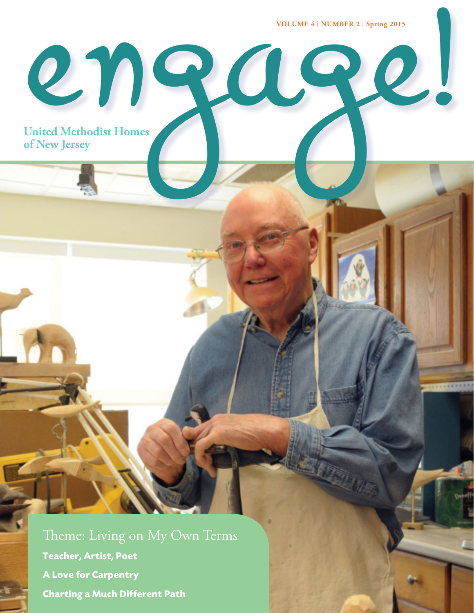**VOLUME 4 | NUMBER 2 | Spring 2015**

**of New Jersey** engage!

**United Methodist Homes**

Theme: Living on My Own Terms **Teacher, Artist, Poet A Love for Carpentry Charting a Much Different Path**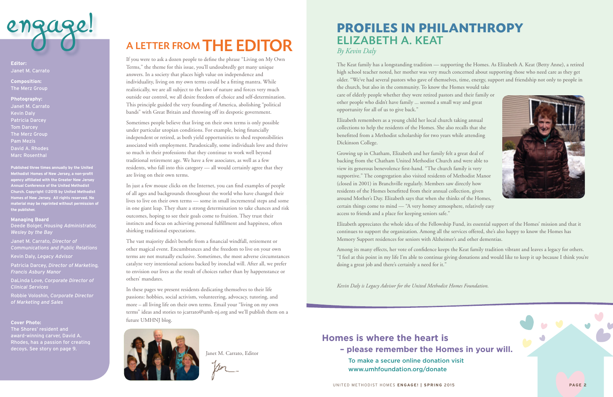

If you were to ask a dozen people to define the phrase "Living on My Own Terms," the theme for this issue, you'll undoubtedly get many unique answers. In a society that places high value on independence and individuality, living on my own terms could be a fitting mantra. While realistically, we are all subject to the laws of nature and forces very much outside our control, we all desire freedom of choice and self-determination. This principle guided the very founding of America, abolishing "political bands" with Great Britain and throwing off its despotic government.

Sometimes people believe that living on their own terms is only possible under particular utopian conditions. For example, being financially independent or retired, as both yield opportunities to shed responsibilities associated with employment. Paradoxically, some individuals love and thrive so much in their professions that they continue to work well beyond traditional retirement age. We have a few associates, as well as a few residents, who fall into this category — all would certainly agree that they are living on their own terms.

In just a few mouse clicks on the Internet, you can find examples of people of all ages and backgrounds throughout the world who have changed their lives to live on their own terms — some in small incremental steps and some in one giant leap. They share a strong determination to take chances and risk outcomes, hoping to see their goals come to fruition. They trust their instincts and focus on achieving personal fulfillment and happiness, often shirking traditional expectations.

The vast majority didn't benefit from a financial windfall, retirement or other magical event. Encumbrances and the freedom to live on your own terms are not mutually exclusive. Sometimes, the most adverse circumstances catalyze very intentional actions backed by ironclad will. After all, we prefer to envision our lives as the result of choices rather than by happenstance or others' mandates.

In these pages we present residents dedicating themselves to their life passions: hobbies, social activism, volunteering, advocacy, tutoring, and more – all living life on their own terms. Email your "living on my own terms" ideas and stories to jcarrato@umh-nj.org and we'll publish them on a future UMHNJ blog.



Janet M. Carrato, Editor

**Editor:** Janet M. Carrato

**Composition:** The Merz Group

**Photography:** Janet M. Carrato Kevin Daly Patricia Darcey Tom Darcey The Merz Group Pam Mezis David A. Rhodes Marc Rosenthal

**Published three times annually by the United Methodist Homes of New Jersey, a non-profit agency affiliated with the Greater New Jersey Annual Conference of the United Methodist Church. Copyright ©2015 by United Methodist Homes of New Jersey. All rights reserved. No material may be reprinted without permission of the publisher.**

#### **Managing Board**

Deede Bolger, *Housing Administrator, Wesley by the Bay*

Janet M. Carrato, *Director of Communications and Public Relations*

Kevin Daly, *Legacy Advisor*

Patricia Darcey, *Director of Marketing, Francis Asbury Manor*

DaLinda Love, *Corporate Director of Clinical Services*

Robbie Voloshin, *Corporate Director of Marketing and Sales*

#### **Cover Photo:**

The Shores' resident and award-winning carver, David A. Rhodes, has a passion for creating decoys. See story on page 9.

# A LETTER FROM THE EDITOR

**PROFILES IN PHILANTHROPY** ELIZABETH A. KEAT *By Kevin Daly*

The Keat family has a longstanding tradition — supporting the Homes. As Elizabeth A. Keat (Betty Anne), a retired high school teacher noted, her mother was very much concerned about supporting those who need care as they get older. "We've had several pastors who gave of themselves, time, energy, support and friendship not only to people in the church, but also in the community. To know the Homes would take care of elderly people whether they were retired pastors and their family or other people who didn't have family ... seemed a small way and great opportunity for all of us to give back."

Elizabeth remembers as a young child her local church taking annual collections to help the residents of the Homes. She also recalls that she benefitted from a Methodist scholarship for two years while attending Dickinson College.

Growing up in Chatham, Elizabeth and her family felt a great deal of backing from the Chatham United Methodist Church and were able to view its generous benevolence first-hand. "The church family is very supportive." The congregation also visited residents of Methodist Manor (closed in 2001) in Branchville regularly. Members saw directly how residents of the Homes benefitted from their annual collection, given around Mother's Day. Elizabeth says that when she thinks of the Homes, certain things come to mind — "A very homey atmosphere, relatively easy access to friends and a place for keeping seniors safe."

Elizabeth appreciates the whole idea of the Fellowship Fund, its essential support of the Homes' mission and that it continues to support the organization. Among all the services offered, she's also happy to know the Homes has Memory Support residences for seniors with Alzheimer's and other dementias.

Among its many effects, her vote of confidence keeps the Keat family tradition vibrant and leaves a legacy for others. "I feel at this point in my life I'm able to continue giving donations and would like to keep it up because I think you're doing a great job and there's certainly a need for it."

*Kevin Daly is Legacy Advisor for the United Methodist Homes Foundation.*

### **Homes is where the heart is – please remember the Homes in your will.**

To make a secure online donation visit www.umhfoundation.org/donate



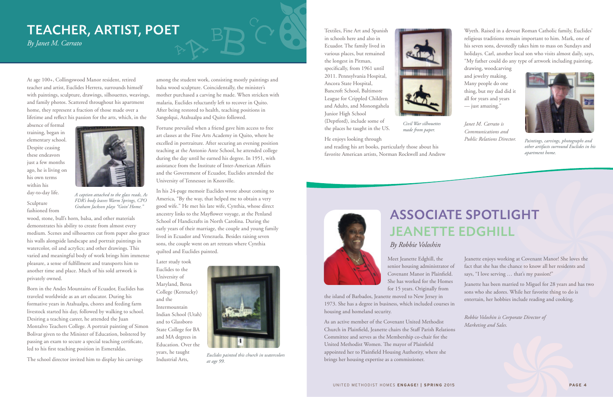At age 100+, Collingswood Manor resident, retired teacher and artist, Euclides Herrera, surrounds himself with paintings, sculpture, drawings, silhouettes, weavings, and family photos. Scattered throughout his apartment home, they represent a fraction of those made over a lifetime and reflect his passion for the arts, which, in the

absence of formal training, began in elementary school. Despite ceasing these endeavors just a few months ago, he is living on his own terms within his day-to-day life.

Sculpture fashioned from

wood, stone, bull's horn, balsa, and other materials demonstrates his ability to create from almost every medium. Scenes and silhouettes cut from paper also grace his walls alongside landscape and portrait paintings in watercolor, oil and acrylics; and other drawings. This varied and meaningful body of work brings him immense pleasure, a sense of fulfillment and transports him to another time and place. Much of his sold artwork is privately owned.

Born in the Andes Mountains of Ecuador, Euclides has traveled worldwide as an art educator. During his formative years in Atahualpa, chores and feeding farm livestock started his day, followed by walking to school. Desiring a teaching career, he attended the Juan Montalvo Teachers College. A portrait painting of Simon Bolivar given to the Minister of Education, bolstered by passing an exam to secure a special teaching certificate, led to his first teaching position in Esmeraldas.

The school director invited him to display his carvings

among the student work, consisting mostly paintings and balsa wood sculpture. Coincidentally, the minister's mother purchased a carving he made. When stricken with malaria, Euclides reluctantly left to recover in Quito. After being restored to health, teaching positions in Sangolqui, Atahualpa and Quito followed.

Fortune prevailed when a friend gave him access to free art classes at the Fine Arts Academy in Quito, where he excelled in portraiture. After securing an evening position teaching at the Antonio Ante School, he attended college during the day until he earned his degree. In 1951, with assistance from the Institute of Inter-American Affairs and the Government of Ecuador, Euclides attended the University of Tennessee in Knoxville.

In his 24-page memoir Euclides wrote about coming to America, "By the way, that helped me to obtain a very good wife." He met his late wife, Cynthia, whose direct ancestry links to the Mayflower voyage, at the Penland School of Handicrafts in North Carolina. During the early years of their marriage, the couple and young family lived in Ecuador and Venezuela. Besides raising seven sons, the couple went on art retreats where Cynthia quilted and Euclides painted.

Later study took Euclides to the University of Maryland, Berea College (Kentucky) and the Intermountain Indian School (Utah) and to Glassboro State College for BA and MA degrees in Education. Over the years, he taught Industrial Arts,

# TEACHER, ARTIST, POET

*By Janet M. Carrato*



*Euclides painted this church in watercolors at age 99.*



*A caption attached to the glass reads, As FDR's body leaves Warm Springs, CPO Graham Jackson plays "Goin' Home."*

Textiles, Fine Art and Spanish in schools here and also in Ecuador. The family lived in various places, but remained the longest in Pitman, specifically, from 1961 until 2011. Pennsylvania Hospital, Ancora State Hospital, Bancroft School, Baltimore League for Crippled Children and Adults, and Monongahela Junior High School (Deptford), include some of the places he taught in the US.

He enjoys looking through and reading his art books, particularly those about his favorite American artists, Norman Rockwell and Andrew



Wyeth. Raised in a devout Roman Catholic family, Euclides' religious traditions remain important to him. Mark, one of his seven sons, devotedly takes him to mass on Sundays and holidays. Carl, another local son who visits almost daily, says, "My father could do any type of artwork including painting,

drawing, woodcarving and jewelry making. Many people do one thing, but my dad did it all for years and years — just amazing."

*Janet M. Carrato is Communications and Public Relations Director.*



*Civil War silhouettes made from paper.*



*Paintings, carvings, photographs and other artifacts surround Euclides in his apartment home.*

## ASSOCIATE SPOTLIGHT JEANETTE EDGHILL *By Robbie Voloshin*

Meet Jeanette Edghill, the senior housing administrator of Covenant Manor in Plainfield. She has worked for the Homes for 15 years. Originally from

the island of Barbados, Jeanette moved to New Jersey in 1973. She has a degree in business, which included courses housing and homeland security.

As an active member of the Covenant United Methodist Church in Plainfield, Jeanette chairs the Staff Parish Relations Committee and serves as the Membership co-chair for the United Methodist Women. The mayor of Plainfield appointed her to Plainfield Housing Authority, where she brings her housing expertise as a commissioner.

| ρf      | Jeanette enjoys working at Covenant Manor! She loves the<br>fact that she has the chance to know all her residents and<br>says, "I love serving  that's my passion!"          |
|---------|-------------------------------------------------------------------------------------------------------------------------------------------------------------------------------|
| S<br>'n | Jeanette has been married to Miguel for 28 years and has two<br>sons who she adores. While her favorite thing to do is<br>entertain, her hobbies include reading and cooking. |
|         | Robbie Voloshin is Corporate Director of<br>Marketing and Sales.                                                                                                              |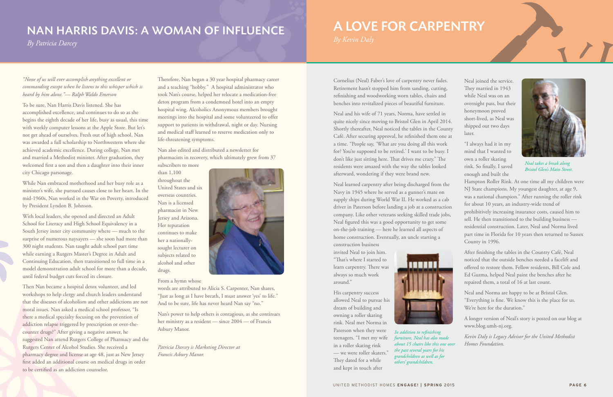## NAN HARRIS DAVIS: A WOMAN OF INFLUENCE

*By Patricia Darcey*

*"None of us will ever accomplish anything excellent or commanding except when he listens to this whisper which is heard by him alone."— Ralph Waldo Emerson*

To be sure, Nan Harris Davis listened. She has accomplished excellence, and continues to do so as she begins the eighth decade of her life, busy as usual, this time with weekly computer lessons at the Apple Store. But let's not get ahead of ourselves. Fresh out of high school, Nan was awarded a full scholarship to Northwestern where she achieved academic excellence. During college, Nan met and married a Methodist minister. After graduation, they welcomed first a son and then a daughter into their inner city Chicago parsonage.

While Nan embraced motherhood and her busy role as a minister's wife, she pursued causes close to her heart. In the mid-1960s, Nan worked in the War on Poverty, introduced by President Lyndon B. Johnson.

With local leaders, she opened and directed an Adult School for Literacy and High School Equivalency in a South Jersey inner city community where — much to the surprise of numerous naysayers — she soon had more than 300 night students. Nan taught adult school part time while earning a Rutgers Master's Degree in Adult and Continuing Education, then transitioned to full time in a model demonstration adult school for more than a decade, until federal budget cuts forced its closure.

Then Nan became a hospital detox volunteer, and led workshops to help clergy and church leaders understand that the diseases of alcoholism and other addictions are not moral issues. Nan asked a medical school professor, "Is there a medical specialty focusing on the prevention of addiction relapse triggered by prescription or over-thecounter drugs?" After giving a negative answer, he suggested Nan attend Rutgers College of Pharmacy and the Rutgers Center of Alcohol Studies. She received a pharmacy degree and license at age 48, just as New Jersey first added an additional course on medical drugs in order to be certified as an addiction counselor.

Therefore, Nan began a 30 year hospital pharmacy career and a teaching "hobby." A hospital administrator who took Nan's course, helped her relocate a medication-free detox program from a condemned hotel into an empty hospital wing. Alcoholics Anonymous members brought meetings into the hospital and some volunteered to offer support to patients in withdrawal, night or day. Nursing and medical staff learned to reserve medication only to life-threatening symptoms.

Nan also edited and distributed a newsletter for pharmacists in recovery, which ultimately grew from 37

subscribers to more than 1,100 throughout the United States and six overseas countries. Nan is a licensed pharmacist in New Jersey and Arizona. Her reputation continues to make her a nationallysought lecturer on subjects related to alcohol and other drugs.

From a hymn whose

words are attributed to Alicia S. Carpenter, Nan shares, "Just as long as I have breath, I must answer 'yes' to life." And to be sure, life has never heard Nan say "no."

Nan's power to help others is contagious, as she continues her ministry as a resident — since 2004 — of Francis Asbury Manor.

*Patricia Darcey is Marketing Director at Francis Asbury Manor.*



Cornelius (Neal) Faber's love of carpentry never fades. Retirement hasn't stopped him from sanding, cutting, refinishing and woodworking worn tables, chairs and benches into revitalized pieces of beautiful furniture.

Neal and his wife of 71 years, Norma, have settled in quite nicely since moving to Bristol Glen in April 2014. Shortly thereafter, Neal noticed the tables in the County Café. After securing approval, he refinished them one at a time. "People say, 'What are you doing all this work for? You're supposed to be retired.' I want to be busy. I don't like just sitting here. That drives me crazy." The residents were amazed with the way the tables looked afterward, wondering if they were brand new.

Neal learned carpentry after being discharged from the Navy in 1945 where he served as a gunner's mate on supply ships during World War II. He worked as a cab driver in Paterson before landing a job at a construction company. Like other veterans seeking skilled trade jobs, Neal figured this was a good opportunity to get some on-the-job training — here he learned all aspects of home construction. Eventually, an uncle starting a construction business

invited Neal to join him. "That's where I started to learn carpentry. There was always so much work around."

His carpentry success allowed Neal to pursue his dream of building and owning a roller skating rink. Neal met Norma in Paterson when they were teenagers. "I met my wife in a roller skating rink — we were roller skaters." They dated for a while and kept in touch after



Neal joined the service. They married in 1943 while Neal was on an overnight pass, but their honeymoon proved short-lived, as Neal was shipped out two days later.

"I always had it in my mind that I wanted to own a roller skating rink. So finally, I saved enough and built the

Hampton Roller Rink. At one time all my children were NJ State champions. My youngest daughter, at age 9, was a national champion." After running the roller rink for about 10 years, an industry-wide trend of prohibitively increasing insurance costs, caused him to sell. He then transitioned to the building business residential construction. Later, Neal and Norma lived part time in Florida for 10 years then returned to Sussex

County in 1996.

After finishing the tables in the Country Café, Neal noticed that the outside benches needed a facelift and offered to restore them. Fellow residents, Bill Cole and Ed Guzma, helped Neal paint the benches after he repaired them, a total of 16 at last count.

Neal and Norma are happy to be at Bristol Glen. "Everything is fine. We know this is the place for us. We're here for the duration."

A longer version of Neal's story is posted on our blog at www.blog.umh-nj.org.

*Kevin Daly is Legacy Advisor for the United Methodist Homes Foundation.*



*Neal takes a break along Bristol Glen's Main Street.*

*In addition to refinishing furniture, Neal has also made about 15 chairs like this one over the past several years for his grandchildren as well as for others' grandchildren.*

# A LOVE FOR CARPENTRY

*By Kevin Daly*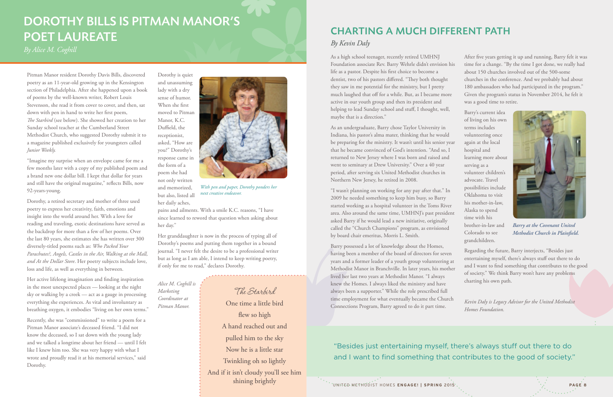Pitman Manor resident Dorothy Davis Bills, discovered poetry as an 11-year-old growing up in the Kensington section of Philadelphia. After she happened upon a book of poems by the well-known writer, Robert Louis Stevenson, she read it from cover to cover, and then, sat down with pen in hand to write her first poem, *The Starbird* (see below). She showed her creation to her Sunday school teacher at the Cumberland Street Methodist Church, who suggested Dorothy submit it to a magazine published exclusively for youngsters called *Junior Weekly.*

"Imagine my surprise when an envelope came for me a few months later with a copy of my published poem and a brand new one dollar bill. I kept that dollar for years and still have the original magazine," reflects Bills, now 92-years-young.

Dorothy, a retired secretary and mother of three used poetry to express her creativity, faith, emotions and insight into the world around her. With a love for reading and traveling, exotic destinations have served as the backdrop for more than a few of her poems. Over the last 80 years, she estimates she has written over 300 diversely-titled poems such as: *Who Packed Your Parachutes?, Angels, Castles in the Air, Walking at the Mall, and At the Dollar Store*. Her poetry subjects include love, loss and life, as well as everything in between.

Dorothy is quiet and unassuming lady with a dry sense of humor. When she first moved to Pitman Manor, K.C. Duffield, the receptionist, asked, "How are you?" Dorothy's response came in the form of a poem she had not only written and memorized, but also, listed all her daily aches,

Her active lifelong imagination and finding inspiration in the most unexpected places — looking at the night sky or walking by a creek — act as a gauge in processing everything she experiences. As vital and involuntary as breathing oxygen, it embodies "living on her own terms."

Recently, she was "commissioned" to write a poem for a Pitman Manor associate's deceased friend. "I did not know the deceased, so I sat down with the young lady and we talked a longtime about her friend — until I felt like I knew him too. She was very happy with what I wrote and proudly read it at his memorial services," said Dorothy.

pains and ailments. With a smile K.C. reasons, "I have since learned to reword that question when asking about her day."

Her granddaughter is now in the process of typing all of Dorothy's poems and putting them together in a bound journal. "I never felt the desire to be a professional writer but as long as I am able, I intend to keep writing poetry, if only for me to read," declares Dorothy.

*Alice M. Coghill is Marketing Coordinator at Pitman Manor.*



*With pen and paper, Dorothy ponders her next creative endeavor.*

# DOROTHY BILLS IS PITMAN MANOR'S POET LAUREATE

*By Alice M. Coghill*

The Starbird

One time a little bird flew so high A hand reached out and pulled him to the sky Now he is a little star Twinkling oh so lightly And if it isn't cloudy you'll see him shining brightly

As an undergraduate, Barry chose Taylor University in Indiana, his pastor's alma mater, thinking that he would be preparing for the ministry. It wasn't until his senior year that he became convinced of God's intention. "And so, I returned to New Jersey where I was born and raised and went to seminary at Drew University." Over a 40 year period, after serving six United Methodist churches in Northern New Jersey, he retired in 2008.

As a high school teenager, recently retired UMHNJ Foundation associate Rev. Barry Wehrle didn't envision his life as a pastor. Despite his first choice to become a dentist, two of his pastors differed. "They both thought they saw in me potential for the ministry, but I pretty much laughed that off for a while. But, as I became more active in our youth group and then its president and helping to lead Sunday school and stuff, I thought, well, maybe that is a direction." After five years getting it up and running, Barry felt it was time for a change. "By the time I got done, we really had about 150 churches involved out of the 500-some churches in the conference. And we probably had about 180 ambassadors who had participated in the program." Given the program's status in November 2014, he felt it was a good time to retire. Barry's current idea

"I wasn't planning on working for any pay after that." In 2009 he needed something to keep him busy, so Barry started working as a hospital volunteer in the Toms River area. Also around the same time, UMHNJ's past president asked Barry if he would lead a new initiative, originally called the "Church Champions" program, as envisioned by board chair emeritus, Morris L. Smith.

Barry possessed a lot of knowledge about the Homes, having been a member of the board of directors for seven years and a former leader of a youth group volunteering at Methodist Manor in Branchville. In later years, his mother lived her last two years at Methodist Manor. "I always knew the Homes. I always liked the ministry and have always been a supporter." While the role prescribed full time employment for what eventually became the Church Connections Program, Barry agreed to do it part time. Regarding the future, Barry interjects, "Besides just entertaining myself, there's always stuff out there to do and I want to find something that contributes to the good of society." We think Barry won't have any problems charting his own path. *Kevin Daly is Legacy Advisor for the United Methodist Homes Foundation.*

of living on his own terms includes volunteering once again at the local hospital and learning more about serving as a volunteer children's advocate. Travel possibilities include Oklahoma to visit his mother-in-law, Alaska to spend time with his brother-in-law and Colorado to see grandchildren.

"Besides just entertaining myself, there's always stuff out there to do and I want to find something that contributes to the good of society."

# CHARTING A MUCH DIFFERENT PATH

*By Kevin Daly*



*Barry at the Covenant United Methodist Church in Plainfield.*

UNITED METHODIST HOMES **ENGAGE! | SPRING** 2015 **PAGE 8**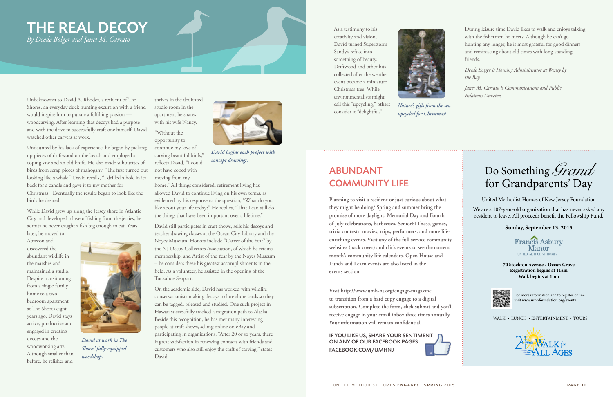Unbeknownst to David A. Rhodes, a resident of The Shores, an everyday duck hunting excursion with a friend would inspire him to pursue a fulfilling passion woodcarving. After learning that decoys had a purpose and with the drive to successfully craft one himself, David watched other carvers at work.

Undaunted by his lack of experience, he began by picking up pieces of driftwood on the beach and employed a coping saw and an old knife. He also made silhouettes of birds from scrap pieces of mahogany. "The first turned out looking like a whale," David recalls, "I drilled a hole in its back for a candle and gave it to my mother for Christmas." Eventually the results began to look like the birds he desired.

home." All things considered, retirement living has allowed David to continue living on his own terms, as evidenced by his response to the question, "What do you like about your life today?" He replies, "That I can still do the things that have been important over a lifetime.'

While David grew up along the Jersey shore in Atlantic City and developed a love of fishing from the jetties, he admits he never caught a fish big enough to eat. Years

later, he moved to Absecon and discovered the abundant wildlife in the marshes and maintained a studio. Despite transitioning from a single family home to a twobedroom apartment at The Shores eight years ago, David stays active, productive and engaged in creating decoys and the woodworking arts. Although smaller than before, he relishes and

thrives in the dedicated studio room in the apartment he shares with his wife Nancy.

"Without the opportunity to continue my love of carving beautiful birds," reflects David, "I could not have coped with moving from my

David still participates in craft shows, sells his decoys and teaches drawing classes at the Ocean City Library and the Noyes Museum. Honors include "Carver of the Year" by the NJ Decoy Collectors Association, of which he retains membership, and Artist of the Year by the Noyes Museum – he considers these his greatest accomplishments in the field. As a volunteer, he assisted in the opening of the Tuckahoe Seaport.

On the academic side, David has worked with wildlife conservationists making decoys to lure shore birds so they can be tagged, released and studied. One such project in Hawaii successfully tracked a migration path to Alaska. Beside this recognition, he has met many interesting people at craft shows, selling online on eBay and participating in organizations. "After 20 or so years, there is great satisfaction in renewing contacts with friends and customers who also still enjoy the craft of carving," states David.

# THE REAL DECOY

*By Deede Bolger and Janet M. Carrato*



*David at work in The Shores' fully-equipped woodshop.*



*David begins each project with concept drawings.*

As a testimony to his creativity and vision, David turned Superstorm Sandy's refuse into something of beauty. Driftwood and other bits collected after the weather event became a miniature Christmas tree. While environmentalists might call this "upcycling," others

consider it "delightful."

During leisure time David likes to walk and enjoys talking with the fishermen he meets. Although he can't go hunting any longer, he is most grateful for good dinners and reminiscing about old times with long-standing friends.

*Deede Bolger is Housing Administrator at Wesley by the Bay.*

*Janet M. Carrato is Communications and Public Relations Director.*



*Nature's gifts from the sea upcycled for Christmas!*

IF YOU LIKE US, SHARE YOUR SENTIMENT ON ANY OF OUR FACEBOOK PAGES [FACEBOOK.COM/UMHNJ](https://www.facebook.com/UMHNJ?_rdr)

## ABUNDANT COMMUNITY LIFE

**Planning to visit a resident or just curious about what they might be doing? Spring and summer bring the promise of more daylight, Memorial Day and Fourth of July celebrations, barbecues, SeniorFITness, games, trivia contests, movies, trips, performers, and more lifeenriching events. Visit any of the full service community websites (back cover) and click events to see the current month's community life calendars. Open House and Lunch and Learn events are also listed in the events section.** 

**Visit http://www.umh-nj.org/engage-magazine to transition from a hard copy engage to a digital subscription. Complete the form, click submit and you'll receive engage in your email inbox three times annually. Your information will remain confidential.**

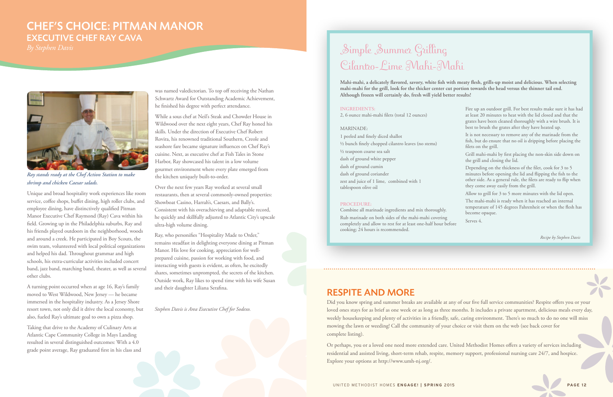Unique and broad hospitality work experiences like room service, coffee shops, buffet dining, high roller clubs, and employee dining, have distinctively qualified Pitman Manor Executive Chef Raymond (Ray) Cava within his field. Growing up in the Philadelphia suburbs, Ray and his friends played outdoors in the neighborhood, woods and around a creek. He participated in Boy Scouts, the swim team, volunteered with local political organizations and helped his dad. Throughout grammar and high schools, his extra-curricular activities included concert band, jazz band, marching band, theater, as well as several other clubs.

A turning point occurred when at age 16, Ray's family moved to West Wildwood, New Jersey — he became immersed in the hospitality industry. As a Jersey Shore resort town, not only did it drive the local economy, but also, fueled Ray's ultimate goal to own a pizza shop.

Taking that drive to the Academy of Culinary Arts at Atlantic Cape Community College in Mays Landing resulted in several distinguished outcomes: With a 4.0 grade point average, Ray graduated first in his class and was named valedictorian. To top off receiving the Nathan Schwartz Award for Outstanding Academic Achievement, he finished his degree with perfect attendance.

While a sous chef at Neil's Steak and Chowder House in Wildwood over the next eight years, Chef Ray honed his skills. Under the direction of Executive Chef Robert Rovira, his renowned traditional Southern, Creole and seashore fare became signature influences on Chef Ray's cuisine. Next, as executive chef at Fish Tales in Stone Harbor, Ray showcased his talent in a low volume gourmet environment where every plate emerged from the kitchen uniquely built-to-order.

Over the next few years Ray worked at several small restaurants, then at several commonly-owned properties: Showboat Casino, Harrah's, Caesars, and Bally's. Consistent with his overachieving and adaptable record, he quickly and skillfully adjusted to Atlantic City's upscale ultra-high volume dining.

# Simple Summer Grilling Cilantro-Lime Mahi-Mahi

Ray, who personifies "Hospitality Made to Order," remains steadfast in delighting everyone dining at Pitman Manor. His love for cooking, appreciation for wellprepared cuisine, passion for working with food, and interacting with guests is evident, as often, he excitedly shares, sometimes unprompted, the secrets of the kitchen. Outside work, Ray likes to spend time with his wife Susan and their daughter Liliana Serafina.

*Stephen Davis is Area Executive Chef for Sodexo.*



*Ray stands ready at the Chef Action Station to make shrimp and chicken Caesar salads.*

## CHEF'S CHOICE: PITMAN MANOR EXECUTIVE CHEF RAY CAVA

#### **INGREDIENTS:**

2, 6 ounce mahi-mahi filets (total 12 ounces)

#### MARINADE:

1 peeled and finely diced shallot ½ bunch finely chopped cilantro leaves (no stems) ½ teaspoon coarse sea salt dash of ground white pepper dash of ground cumin dash of ground coriander zest and juice of 1 lime, combined with 1 tablespoon olive oil

#### **PROCEDURE:**

Combine all marinade ingredients and mix thoroughly. Rub marinade on both sides of the mahi-mahi covering completely and allow to rest for at least one-half hour before cooking; 24 hours is recommended.

Fire up an outdoor grill. For best results make sure it has had at least 20 minutes to heat with the lid closed and that the grates have been cleaned thoroughly with a wire brush. It is best to brush the grates after they have heated up. It is not necessary to remove any of the marinade from the fish, but do ensure that no oil is dripping before placing the filets on the grill. Grill mahi-mahi by first placing the non-skin side down on the grill and closing the lid. Depending on the thickness of the filet, cook for 3 to 5 minutes before opening the lid and flipping the fish to the other side. As a general rule, the filets are ready to flip when they come away easily from the grill. Allow to grill for 3 to 5 more minutes with the lid open. The mahi-mahi is ready when it has reached an internal temperature of 145 degrees Fahrenheit or when the flesh has become opaque. Serves 4.

**Mahi-mahi, a delicately flavored, savory, white fish with meaty flesh, grills-up moist and delicious. When selecting mahi-mahi for the grill, look for the thicker center cut portion towards the head versus the thinner tail end. Although frozen will certainly do, fresh will yield better results!**

### RESPITE AND MORE

Did you know spring and summer breaks are available at any of our five full service communities? Respite offers you or your loved ones stays for as brief as one week or as long as three months. It includes a private apartment, delicious meals every day, weekly housekeeping and plenty of activities in a friendly, safe, caring environment. There's so much to do no one will miss mowing the lawn or weeding! Call the community of your choice or visit them on the web (see back cover for complete listing).

Or perhaps, you or a loved one need more extended care. United Methodist Homes offers a variety of services including residential and assisted living, short-term rehab, respite, memory support, professional nursing care 24/7, and hospice. Explore your options at http://www.umh-nj.org/.

*Recipe by Stephen Davis*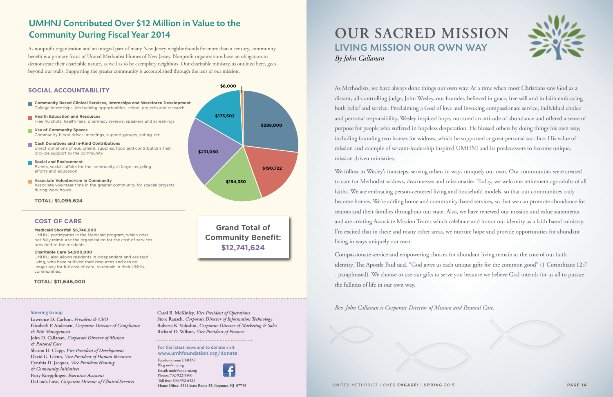### UMHNJ Contributed Over \$12 Million in Value to the Community During Fiscal Year 2014

As nonprofit organization and an integral part of many New Jersey neighborhoods for more than a century, community benefit is a primary focus of United Methodist Homes of New Jersey. Nonprofit organizations have an obligation to demonstrate their charitable nature, as well as to be exemplary neighbors. Our charitable ministry, as outlined here, goes beyond our walls. Supporting the greater community is accomplished through the lens of our mission.

#### **Medicaid Shortfall \$6,746,000**

UMHNJ participates in the Medicaid program, which does not fully reimburse the organization for the cost of services provided to the residents.

#### **Charitable Care \$4,900,000**

UMHNJ also allows residents in independent and assisted living, who have outlived their resources and can no longer pay for full cost of care, to remain in their UMHNJ communities.

#### **TOTAL: \$11,646,000**

**Community Benefit: \$12,741,624**

#### For the latest news and to donate visit www.umhfoundation.org/donate

**[Facebook.com/UMHNJ](https://www.facebook.com/UMHNJ?_rdr) [Blog.umh-nj.org](http://www.umh-nj.org/blog/) Email: umh@umh-nj.org Phone: 732-922-9800 Toll free: 800-352-6521 Home Office: 3311 State Route 33, Neptune, NJ 07753**

#### Steering Group

**Lawrence D. Carlson,** *President & CEO* **Elizabeth P. Andersen,** *Corporate Director of Compliance & Risk Management* **John D. Callanan,** *Corporate Director of Mission & Pastoral Care* **Sharon D. Clapp,** *Vice President of Development* **David G. Glenn,** *Vice President of Human Resources* **Cynthia D. Jacques,** *Vice President Housing & Community Initiatives* **Patty Koepplinger,** *Executive Assistant* **DaLinda Love,** *Corporate Director of Clinical Services*



**Carol B. McKinley,** *Vice President of Operations* **Steve Rausch,** *Corporate Director of Information Technology* **Roberta K. Voloshin,** *Corporate Director of Marketing & Sales* **Richard D. Wilson,** *Vice President of Finance*

As Methodists, we have always done things our own way. At a time when most Christians saw God as a distant, all-controlling judge, John Wesley, our founder, believed in grace, free will and in faith embracing both belief and service. Proclaiming a God of love and invoking compassionate service, individual choice and personal responsibility, Wesley inspired hope, nurtured an attitude of abundance and offered a sense of purpose for people who suffered in hopeless desperation. He blessed others by doing things his own way, including founding two homes for widows, which he supported at great personal sacrifice. His value of mission and example of servant-leadership inspired UMHNJ and its predecessors to become unique, mission driven ministries.

We follow in Wesley's footsteps, serving others in ways uniquely our own. Our communities were created to care for Methodist widows, deaconesses and missionaries. Today, we welcome retirement age adults of all faiths. We are embracing person-centered living and household models, so that our communities truly become homes. We're adding home and community-based services, so that we can promote abundance for seniors and their families throughout our state. Also, we have renewed our mission and value statements and are creating Associate Mission Teams which celebrate and honor our identity as a faith based ministry. I'm excited that in these and many other areas, we nurture hope and provide opportunities for abundant living in ways uniquely our own.

Compassionate service and empowering choices for abundant living remain at the core of our faith identity. The Apostle Paul said, "God gives us each unique gifts for the common good" (1 Corinthians 12:7 - paraphrased). We choose to use our gifts to serve you because we believe God intends for us all to pursue the fullness of life in our own way.

*Rev. John Callanan is Corporate Director of Mission and Pastoral Care.*



UNITED METHODIST HOMES **ENGAGE! | SPRING** 2015 **PAGE 14**